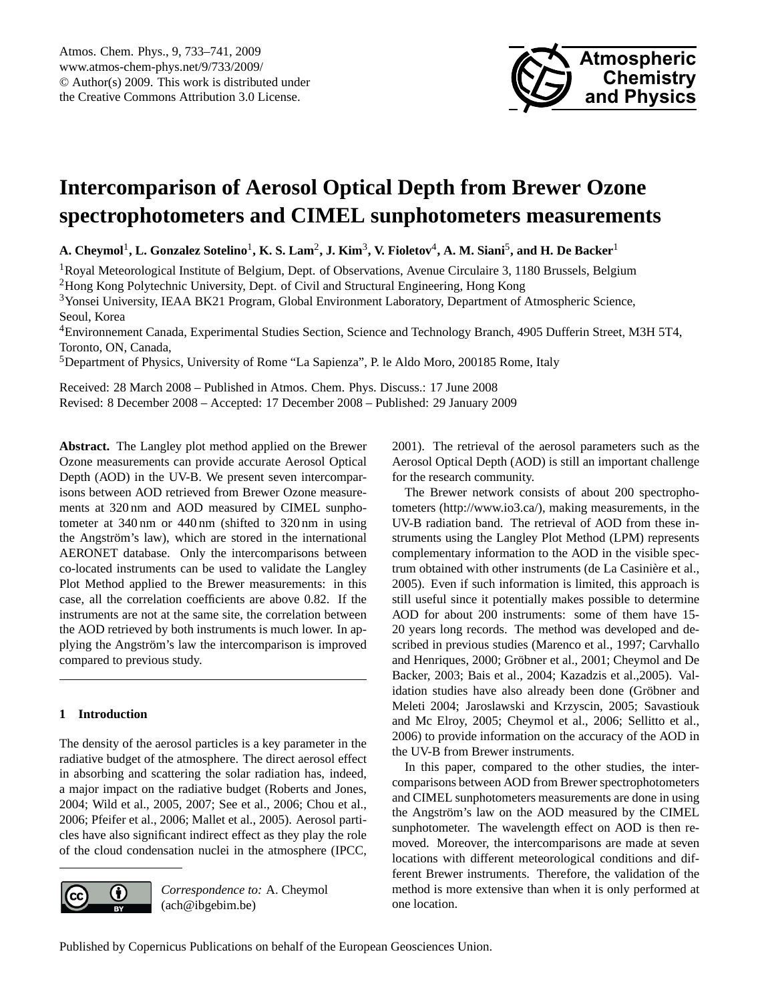

# <span id="page-0-0"></span>**Intercomparison of Aerosol Optical Depth from Brewer Ozone spectrophotometers and CIMEL sunphotometers measurements**

 $\bf{A.}$  Cheymol<sup>1</sup>,  $\bf{L.}$  Gonzalez Sotelino<sup>1</sup>,  $\bf{K.}$  S.  $\bf{Lam^2, J.}$   $\bf{Kim^3, V.}$  Fioletov<sup>4</sup>,  $\bf{A.}$   $\bf{M.}$  Siani<sup>5</sup>, and  $\bf{H.}$  De Backer<sup>1</sup>

<sup>1</sup>Royal Meteorological Institute of Belgium, Dept. of Observations, Avenue Circulaire 3, 1180 Brussels, Belgium <sup>2</sup>Hong Kong Polytechnic University, Dept. of Civil and Structural Engineering, Hong Kong

<sup>3</sup>Yonsei University, IEAA BK21 Program, Global Environment Laboratory, Department of Atmospheric Science, Seoul, Korea

<sup>4</sup>Environnement Canada, Experimental Studies Section, Science and Technology Branch, 4905 Dufferin Street, M3H 5T4, Toronto, ON, Canada,

<sup>5</sup>Department of Physics, University of Rome "La Sapienza", P. le Aldo Moro, 200185 Rome, Italy

Received: 28 March 2008 – Published in Atmos. Chem. Phys. Discuss.: 17 June 2008 Revised: 8 December 2008 – Accepted: 17 December 2008 – Published: 29 January 2009

**Abstract.** The Langley plot method applied on the Brewer Ozone measurements can provide accurate Aerosol Optical Depth (AOD) in the UV-B. We present seven intercomparisons between AOD retrieved from Brewer Ozone measurements at 320 nm and AOD measured by CIMEL sunphotometer at 340 nm or 440 nm (shifted to 320 nm in using the Angström's law), which are stored in the international AERONET database. Only the intercomparisons between co-located instruments can be used to validate the Langley Plot Method applied to the Brewer measurements: in this case, all the correlation coefficients are above 0.82. If the instruments are not at the same site, the correlation between the AOD retrieved by both instruments is much lower. In applying the Angström's law the intercomparison is improved compared to previous study.

# **1 Introduction**

The density of the aerosol particles is a key parameter in the radiative budget of the atmosphere. The direct aerosol effect in absorbing and scattering the solar radiation has, indeed, a major impact on the radiative budget (Roberts and Jones, 2004; Wild et al., 2005, 2007; See et al., 2006; Chou et al., 2006; Pfeifer et al., 2006; Mallet et al., 2005). Aerosol particles have also significant indirect effect as they play the role of the cloud condensation nuclei in the atmosphere (IPCC,



*Correspondence to:* A. Cheymol (ach@ibgebim.be)

2001). The retrieval of the aerosol parameters such as the Aerosol Optical Depth (AOD) is still an important challenge for the research community.

The Brewer network consists of about 200 spectrophotometers [\(http://www.io3.ca/\)](http://www.io3.ca/), making measurements, in the UV-B radiation band. The retrieval of AOD from these instruments using the Langley Plot Method (LPM) represents complementary information to the AOD in the visible spectrum obtained with other instruments (de La Casinière et al., 2005). Even if such information is limited, this approach is still useful since it potentially makes possible to determine AOD for about 200 instruments: some of them have 15- 20 years long records. The method was developed and described in previous studies (Marenco et al., 1997; Carvhallo and Henriques, 2000; Gröbner et al., 2001; Cheymol and De Backer, 2003; Bais et al., 2004; Kazadzis et al.,2005). Validation studies have also already been done (Gröbner and Meleti 2004; Jaroslawski and Krzyscin, 2005; Savastiouk and Mc Elroy, 2005; Cheymol et al., 2006; Sellitto et al., 2006) to provide information on the accuracy of the AOD in the UV-B from Brewer instruments.

In this paper, compared to the other studies, the intercomparisons between AOD from Brewer spectrophotometers and CIMEL sunphotometers measurements are done in using the Angström's law on the AOD measured by the CIMEL sunphotometer. The wavelength effect on AOD is then removed. Moreover, the intercomparisons are made at seven locations with different meteorological conditions and different Brewer instruments. Therefore, the validation of the method is more extensive than when it is only performed at one location.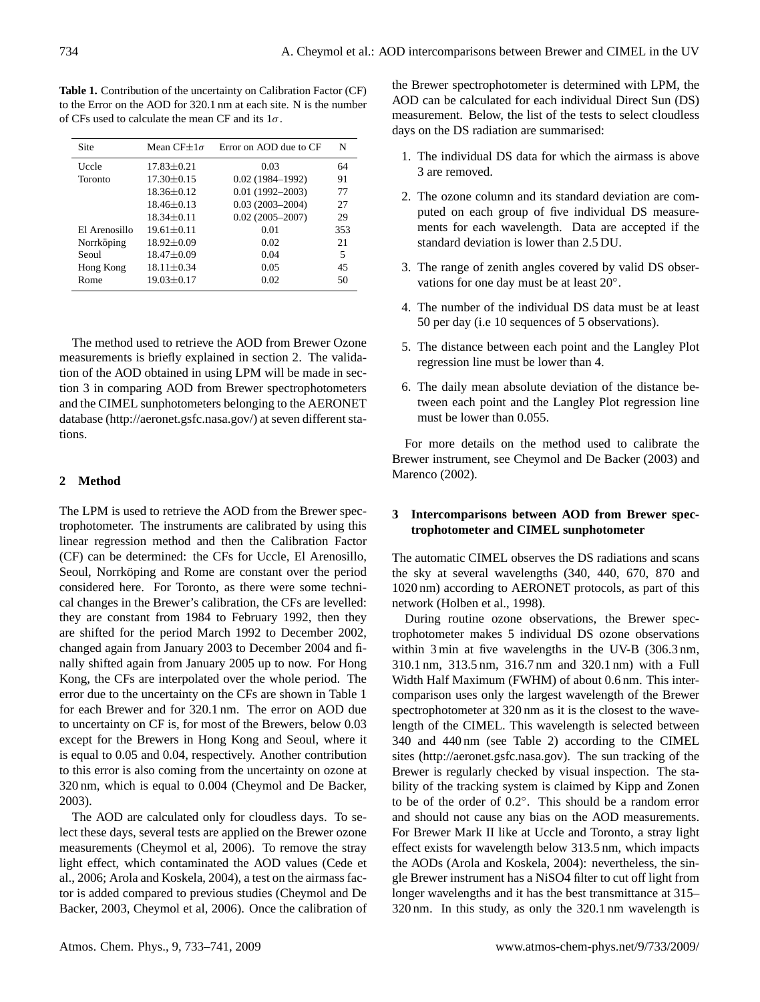**Table 1.** Contribution of the uncertainty on Calibration Factor (CF) to the Error on the AOD for 320.1 nm at each site. N is the number of CFs used to calculate the mean CF and its  $1\sigma$ .

| Site          | Mean CF $\pm 1\sigma$ | Error on AOD due to CF | N   |
|---------------|-----------------------|------------------------|-----|
| Uccle         | $17.83 + 0.21$        | 0.03                   | 64  |
| Toronto       | $17.30 \pm 0.15$      | $0.02(1984 - 1992)$    | 91  |
|               | $18.36 \pm 0.12$      | $0.01(1992 - 2003)$    | 77  |
|               | $18.46 \pm 0.13$      | $0.03(2003 - 2004)$    | 27  |
|               | $18.34 + 0.11$        | $0.02(2005 - 2007)$    | 29  |
| El Arenosillo | $19.61 + 0.11$        | 0.01                   | 353 |
| Norrköping    | $18.92 \pm 0.09$      | 0.02                   | 21  |
| Seoul         | $18.47 \pm 0.09$      | 0.04                   | 5   |
| Hong Kong     | $18.11 \pm 0.34$      | 0.05                   | 45  |
| Rome          | $19.03 \pm 0.17$      | 0.02                   | 50  |

The method used to retrieve the AOD from Brewer Ozone measurements is briefly explained in section 2. The validation of the AOD obtained in using LPM will be made in section 3 in comparing AOD from Brewer spectrophotometers and the CIMEL sunphotometers belonging to the AERONET database [\(http://aeronet.gsfc.nasa.gov/\)](http://aeronet.gsfc.nasa.gov/) at seven different stations.

## **2 Method**

The LPM is used to retrieve the AOD from the Brewer spectrophotometer. The instruments are calibrated by using this linear regression method and then the Calibration Factor (CF) can be determined: the CFs for Uccle, El Arenosillo, Seoul, Norrköping and Rome are constant over the period considered here. For Toronto, as there were some technical changes in the Brewer's calibration, the CFs are levelled: they are constant from 1984 to February 1992, then they are shifted for the period March 1992 to December 2002, changed again from January 2003 to December 2004 and finally shifted again from January 2005 up to now. For Hong Kong, the CFs are interpolated over the whole period. The error due to the uncertainty on the CFs are shown in Table 1 for each Brewer and for 320.1 nm. The error on AOD due to uncertainty on CF is, for most of the Brewers, below 0.03 except for the Brewers in Hong Kong and Seoul, where it is equal to 0.05 and 0.04, respectively. Another contribution to this error is also coming from the uncertainty on ozone at 320 nm, which is equal to 0.004 (Cheymol and De Backer, 2003).

The AOD are calculated only for cloudless days. To select these days, several tests are applied on the Brewer ozone measurements (Cheymol et al, 2006). To remove the stray light effect, which contaminated the AOD values (Cede et al., 2006; Arola and Koskela, 2004), a test on the airmass factor is added compared to previous studies (Cheymol and De Backer, 2003, Cheymol et al, 2006). Once the calibration of the Brewer spectrophotometer is determined with LPM, the AOD can be calculated for each individual Direct Sun (DS) measurement. Below, the list of the tests to select cloudless days on the DS radiation are summarised:

- 1. The individual DS data for which the airmass is above 3 are removed.
- 2. The ozone column and its standard deviation are computed on each group of five individual DS measurements for each wavelength. Data are accepted if the standard deviation is lower than 2.5 DU.
- 3. The range of zenith angles covered by valid DS observations for one day must be at least 20°.
- 4. The number of the individual DS data must be at least 50 per day (i.e 10 sequences of 5 observations).
- 5. The distance between each point and the Langley Plot regression line must be lower than 4.
- 6. The daily mean absolute deviation of the distance between each point and the Langley Plot regression line must be lower than 0.055.

For more details on the method used to calibrate the Brewer instrument, see Cheymol and De Backer (2003) and Marenco (2002).

# **3 Intercomparisons between AOD from Brewer spectrophotometer and CIMEL sunphotometer**

The automatic CIMEL observes the DS radiations and scans the sky at several wavelengths (340, 440, 670, 870 and 1020 nm) according to AERONET protocols, as part of this network (Holben et al., 1998).

During routine ozone observations, the Brewer spectrophotometer makes 5 individual DS ozone observations within 3 min at five wavelengths in the UV-B (306.3 nm, 310.1 nm, 313.5 nm, 316.7 nm and 320.1 nm) with a Full Width Half Maximum (FWHM) of about 0.6 nm. This intercomparison uses only the largest wavelength of the Brewer spectrophotometer at 320 nm as it is the closest to the wavelength of the CIMEL. This wavelength is selected between 340 and 440 nm (see Table 2) according to the CIMEL sites [\(http://aeronet.gsfc.nasa.gov\)](http://aeronet.gsfc.nasa.gov). The sun tracking of the Brewer is regularly checked by visual inspection. The stability of the tracking system is claimed by Kipp and Zonen to be of the order of 0.2◦ . This should be a random error and should not cause any bias on the AOD measurements. For Brewer Mark II like at Uccle and Toronto, a stray light effect exists for wavelength below 313.5 nm, which impacts the AODs (Arola and Koskela, 2004): nevertheless, the single Brewer instrument has a NiSO4 filter to cut off light from longer wavelengths and it has the best transmittance at 315– 320 nm. In this study, as only the 320.1 nm wavelength is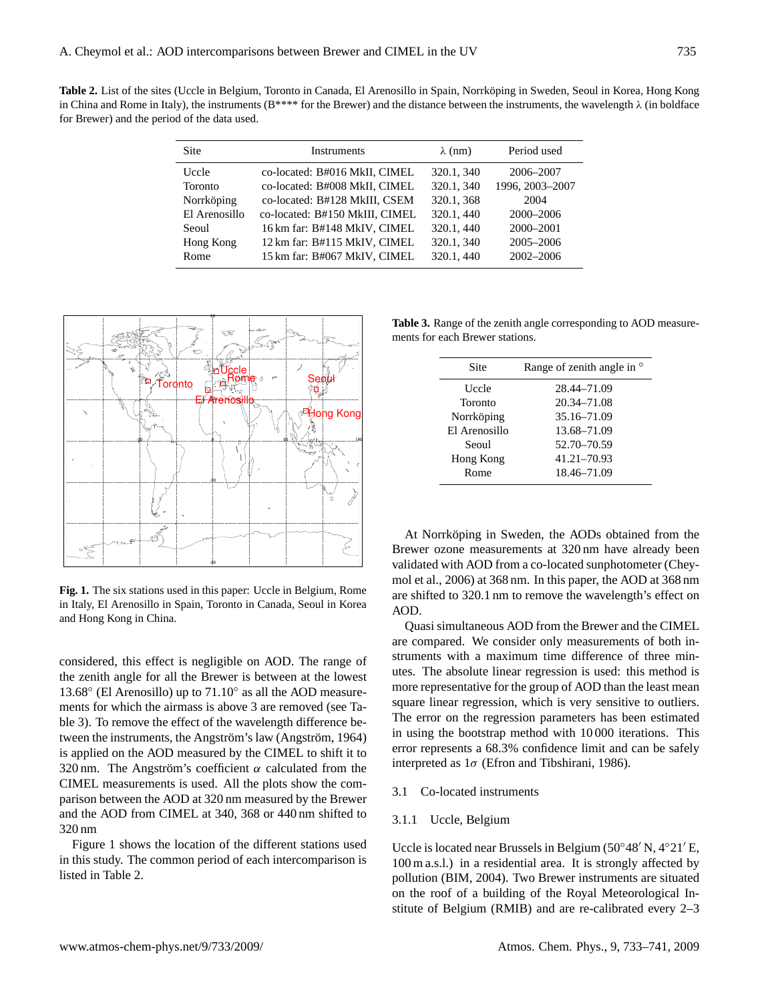Table 2. List of the sites (Uccle in Belgium, Toronto in Canada, El Arenosillo in Spain, Norrköping in Sweden, Seoul in Korea, Hong Kong in China and Rome in Italy), the instruments (B\*\*\*\* for the Brewer) and the distance between the instruments, the wavelength  $\lambda$  (in boldface for Brewer) and the period of the data used.

| <b>Site</b>    | <b>Instruments</b>             | $\lambda$ (nm) | Period used     |  |
|----------------|--------------------------------|----------------|-----------------|--|
| Uccle          | co-located: B#016 MkII, CIMEL  | 320.1, 340     | 2006-2007       |  |
| <b>Toronto</b> | co-located: B#008 MkII, CIMEL  | 320.1, 340     | 1996, 2003-2007 |  |
| Norrköping     | co-located: B#128 MkIII, CSEM  | 320.1, 368     | 2004            |  |
| El Arenosillo  | co-located: B#150 MkIII, CIMEL | 320.1, 440     | 2000-2006       |  |
| Seoul          | 16 km far: B#148 MkIV, CIMEL   | 320.1, 440     | 2000-2001       |  |
| Hong Kong      | 12 km far: B#115 MkIV, CIMEL   | 320.1, 340     | 2005-2006       |  |
| Rome           | 15 km far: B#067 MkIV, CIMEL   | 320.1, 440     | 2002-2006       |  |



**Fig. 1.** The six stations used in this paper: Uccle in Belgium, Rome in Italy, El Arenosillo in Spain, Toronto in Canada, Seoul in Korea and Hong Kong in China.

considered, this effect is negligible on AOD. The range of the zenith angle for all the Brewer is between at the lowest 13.68° (El Arenosillo) up to 71.10° as all the AOD measurements for which the airmass is above 3 are removed (see Table 3). To remove the effect of the wavelength difference between the instruments, the Angström's law (Angström, 1964) is applied on the AOD measured by the CIMEL to shift it to 320 nm. The Angström's coefficient  $\alpha$  calculated from the CIMEL measurements is used. All the plots show the comparison between the AOD at 320 nm measured by the Brewer and the AOD from CIMEL at 340, 368 or 440 nm shifted to 320 nm

Figure 1 shows the location of the different stations used in this study. The common period of each intercomparison is listed in Table 2.

**Table 3.** Range of the zenith angle corresponding to AOD measurements for each Brewer stations.

| Site          | Range of zenith angle in $\circ$ |
|---------------|----------------------------------|
| Uccle         | 28.44–71.09                      |
| Toronto       | 20.34-71.08                      |
| Norrköping    | 35.16-71.09                      |
| El Arenosillo | 13.68-71.09                      |
| Seoul         | 52.70-70.59                      |
| Hong Kong     | 41.21-70.93                      |
| Rome          | 18.46-71.09                      |

At Norrköping in Sweden, the AODs obtained from the Brewer ozone measurements at 320 nm have already been validated with AOD from a co-located sunphotometer (Cheymol et al., 2006) at 368 nm. In this paper, the AOD at 368 nm are shifted to 320.1 nm to remove the wavelength's effect on AOD.

Quasi simultaneous AOD from the Brewer and the CIMEL are compared. We consider only measurements of both instruments with a maximum time difference of three minutes. The absolute linear regression is used: this method is more representative for the group of AOD than the least mean square linear regression, which is very sensitive to outliers. The error on the regression parameters has been estimated in using the bootstrap method with 10 000 iterations. This error represents a 68.3% confidence limit and can be safely interpreted as  $1\sigma$  (Efron and Tibshirani, 1986).

# 3.1 Co-located instruments

### 3.1.1 Uccle, Belgium

Uccle is located near Brussels in Belgium ( $50°48'$  N,  $4°21'$  E, 100 m a.s.l.) in a residential area. It is strongly affected by pollution (BIM, 2004). Two Brewer instruments are situated on the roof of a building of the Royal Meteorological Institute of Belgium (RMIB) and are re-calibrated every 2–3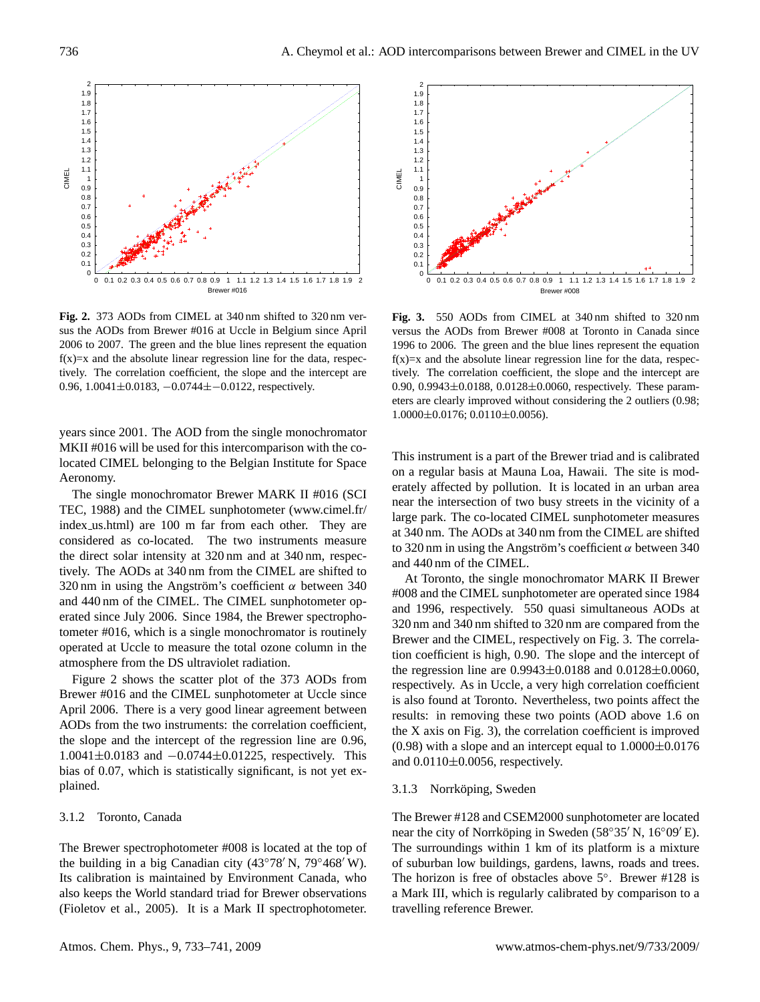

**Fig. 2.** 373 AODs from CIMEL at 340 nm shifted to 320 nm versus the AODs from Brewer #016 at Uccle in Belgium since April 2006 to 2007. The green and the blue lines represent the equation  $f(x)=x$  and the absolute linear regression line for the data, respectively. The correlation coefficient, the slope and the intercept are 0.96, 1.0041±0.0183, −0.0744±−0.0122, respectively.

years since 2001. The AOD from the single monochromator MKII #016 will be used for this intercomparison with the colocated CIMEL belonging to the Belgian Institute for Space Aeronomy.

The single monochromator Brewer MARK II #016 (SCI TEC, 1988) and the CIMEL sunphotometer [\(www.cimel.fr/](www.cimel.fr/index_us.html) index [us.html\)](www.cimel.fr/index_us.html) are 100 m far from each other. They are considered as co-located. The two instruments measure the direct solar intensity at 320 nm and at 340 nm, respectively. The AODs at 340 nm from the CIMEL are shifted to 320 nm in using the Angström's coefficient  $\alpha$  between 340 and 440 nm of the CIMEL. The CIMEL sunphotometer operated since July 2006. Since 1984, the Brewer spectrophotometer #016, which is a single monochromator is routinely operated at Uccle to measure the total ozone column in the atmosphere from the DS ultraviolet radiation.

Figure 2 shows the scatter plot of the 373 AODs from Brewer #016 and the CIMEL sunphotometer at Uccle since April 2006. There is a very good linear agreement between AODs from the two instruments: the correlation coefficient, the slope and the intercept of the regression line are 0.96, 1.0041±0.0183 and −0.0744±0.01225, respectively. This bias of 0.07, which is statistically significant, is not yet explained.

# 3.1.2 Toronto, Canada

The Brewer spectrophotometer #008 is located at the top of the building in a big Canadian city (43°78′ N, 79°468′ W). Its calibration is maintained by Environment Canada, who also keeps the World standard triad for Brewer observations (Fioletov et al., 2005). It is a Mark II spectrophotometer.



**Fig. 3.** 550 AODs from CIMEL at 340 nm shifted to 320 nm versus the AODs from Brewer #008 at Toronto in Canada since 1996 to 2006. The green and the blue lines represent the equation  $f(x)=x$  and the absolute linear regression line for the data, respectively. The correlation coefficient, the slope and the intercept are 0.90, 0.9943±0.0188, 0.0128±0.0060, respectively. These parameters are clearly improved without considering the 2 outliers (0.98; 1.0000±0.0176; 0.0110±0.0056).

This instrument is a part of the Brewer triad and is calibrated on a regular basis at Mauna Loa, Hawaii. The site is moderately affected by pollution. It is located in an urban area near the intersection of two busy streets in the vicinity of a large park. The co-located CIMEL sunphotometer measures at 340 nm. The AODs at 340 nm from the CIMEL are shifted to 320 nm in using the Angström's coefficient  $\alpha$  between 340 and 440 nm of the CIMEL.

At Toronto, the single monochromator MARK II Brewer #008 and the CIMEL sunphotometer are operated since 1984 and 1996, respectively. 550 quasi simultaneous AODs at 320 nm and 340 nm shifted to 320 nm are compared from the Brewer and the CIMEL, respectively on Fig. 3. The correlation coefficient is high, 0.90. The slope and the intercept of the regression line are  $0.9943 \pm 0.0188$  and  $0.0128 \pm 0.0060$ , respectively. As in Uccle, a very high correlation coefficient is also found at Toronto. Nevertheless, two points affect the results: in removing these two points (AOD above 1.6 on the X axis on Fig. 3), the correlation coefficient is improved  $(0.98)$  with a slope and an intercept equal to  $1.0000\pm0.0176$ and  $0.0110\pm0.0056$ , respectively.

#### 3.1.3 Norrköping, Sweden

The Brewer #128 and CSEM2000 sunphotometer are located near the city of Norrköping in Sweden (58°35' N, 16°09' E). The surroundings within 1 km of its platform is a mixture of suburban low buildings, gardens, lawns, roads and trees. The horizon is free of obstacles above 5◦ . Brewer #128 is a Mark III, which is regularly calibrated by comparison to a travelling reference Brewer.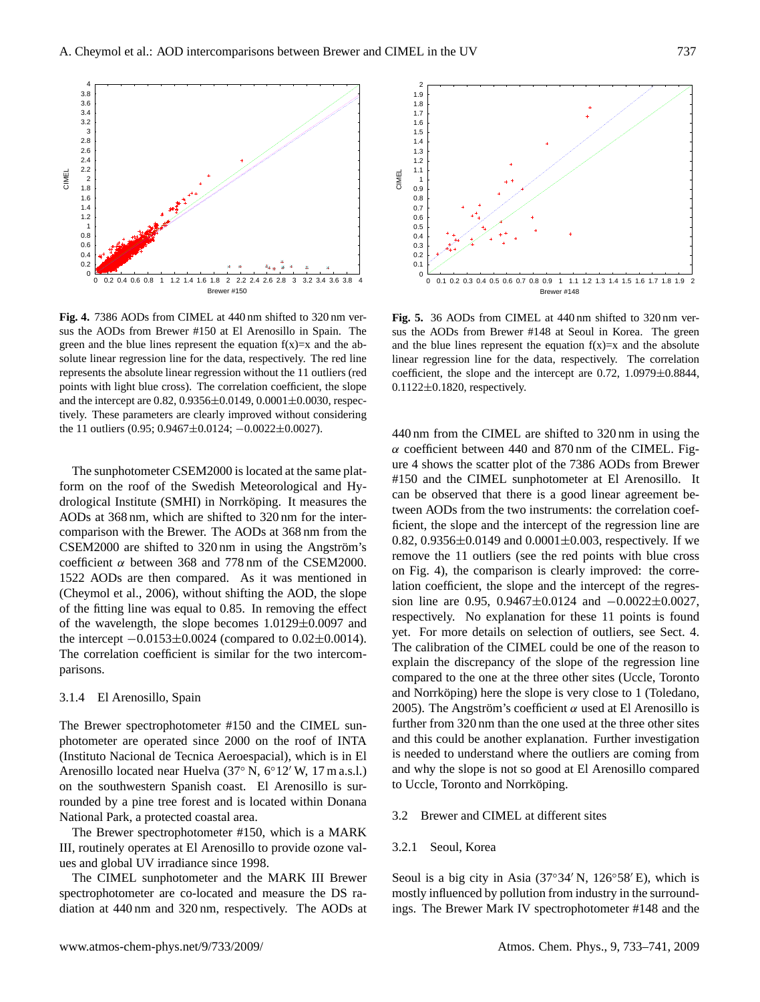

**Fig. 4.** 7386 AODs from CIMEL at 440 nm shifted to 320 nm versus the AODs from Brewer #150 at El Arenosillo in Spain. The green and the blue lines represent the equation  $f(x)=x$  and the absolute linear regression line for the data, respectively. The red line represents the absolute linear regression without the 11 outliers (red points with light blue cross). The correlation coefficient, the slope and the intercept are  $0.82$ ,  $0.9356 \pm 0.0149$ ,  $0.0001 \pm 0.0030$ , respectively. These parameters are clearly improved without considering the 11 outliers (0.95; 0.9467±0.0124; −0.0022±0.0027).

The sunphotometer CSEM2000 is located at the same platform on the roof of the Swedish Meteorological and Hydrological Institute (SMHI) in Norrköping. It measures the AODs at 368 nm, which are shifted to 320 nm for the intercomparison with the Brewer. The AODs at 368 nm from the  $CSEM2000$  are shifted to  $320 \text{ nm}$  in using the Angström's coefficient  $\alpha$  between 368 and 778 nm of the CSEM2000. 1522 AODs are then compared. As it was mentioned in (Cheymol et al., 2006), without shifting the AOD, the slope of the fitting line was equal to 0.85. In removing the effect of the wavelength, the slope becomes 1.0129±0.0097 and the intercept  $-0.0153\pm0.0024$  (compared to  $0.02\pm0.0014$ ). The correlation coefficient is similar for the two intercomparisons.

#### 3.1.4 El Arenosillo, Spain

The Brewer spectrophotometer #150 and the CIMEL sunphotometer are operated since 2000 on the roof of INTA (Instituto Nacional de Tecnica Aeroespacial), which is in El Arenosillo located near Huelva  $(37° \text{ N}, 6°12' \text{ W}, 17 \text{ m a.s.}$ l.) on the southwestern Spanish coast. El Arenosillo is surrounded by a pine tree forest and is located within Donana National Park, a protected coastal area.

The Brewer spectrophotometer #150, which is a MARK III, routinely operates at El Arenosillo to provide ozone values and global UV irradiance since 1998.

The CIMEL sunphotometer and the MARK III Brewer spectrophotometer are co-located and measure the DS radiation at 440 nm and 320 nm, respectively. The AODs at



**Fig. 5.** 36 AODs from CIMEL at 440 nm shifted to 320 nm versus the AODs from Brewer #148 at Seoul in Korea. The green and the blue lines represent the equation  $f(x)=x$  and the absolute linear regression line for the data, respectively. The correlation coefficient, the slope and the intercept are 0.72, 1.0979±0.8844, 0.1122±0.1820, respectively.

440 nm from the CIMEL are shifted to 320 nm in using the  $\alpha$  coefficient between 440 and 870 nm of the CIMEL. Figure 4 shows the scatter plot of the 7386 AODs from Brewer #150 and the CIMEL sunphotometer at El Arenosillo. It can be observed that there is a good linear agreement between AODs from the two instruments: the correlation coefficient, the slope and the intercept of the regression line are 0.82, 0.9356 $\pm$ 0.0149 and 0.0001 $\pm$ 0.003, respectively. If we remove the 11 outliers (see the red points with blue cross on Fig. 4), the comparison is clearly improved: the correlation coefficient, the slope and the intercept of the regression line are 0.95, 0.9467±0.0124 and −0.0022±0.0027, respectively. No explanation for these 11 points is found yet. For more details on selection of outliers, see Sect. 4. The calibration of the CIMEL could be one of the reason to explain the discrepancy of the slope of the regression line compared to the one at the three other sites (Uccle, Toronto and Norrköping) here the slope is very close to 1 (Toledano, 2005). The Angström's coefficient  $\alpha$  used at El Arenosillo is further from 320 nm than the one used at the three other sites and this could be another explanation. Further investigation is needed to understand where the outliers are coming from and why the slope is not so good at El Arenosillo compared to Uccle, Toronto and Norrköping.

# 3.2 Brewer and CIMEL at different sites

### 3.2.1 Seoul, Korea

Seoul is a big city in Asia  $(37°34' N, 126°58' E)$ , which is mostly influenced by pollution from industry in the surroundings. The Brewer Mark IV spectrophotometer #148 and the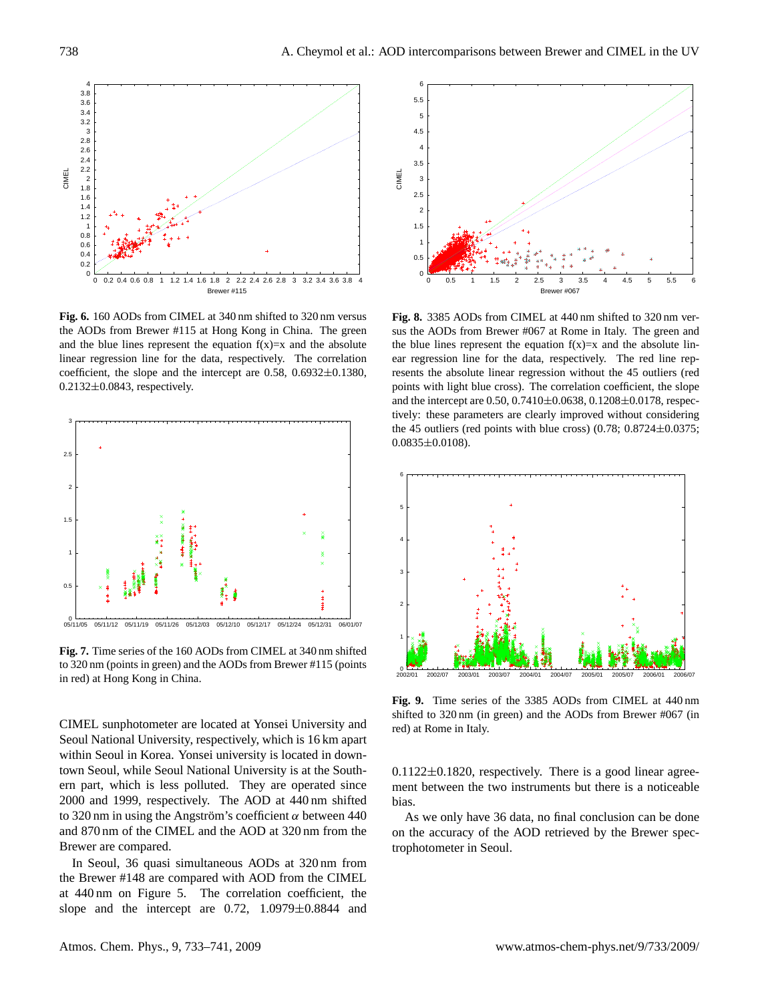

**Fig. 6.** 160 AODs from CIMEL at 340 nm shifted to 320 nm versus the AODs from Brewer #115 at Hong Kong in China. The green and the blue lines represent the equation  $f(x)=x$  and the absolute linear regression line for the data, respectively. The correlation coefficient, the slope and the intercept are  $0.58$ ,  $0.6932 \pm 0.1380$ , 0.2132±0.0843, respectively.



**Fig. 7.** Time series of the 160 AODs from CIMEL at 340 nm shifted to 320 nm (points in green) and the AODs from Brewer #115 (points in red) at Hong Kong in China.

CIMEL sunphotometer are located at Yonsei University and Seoul National University, respectively, which is 16 km apart within Seoul in Korea. Yonsei university is located in downtown Seoul, while Seoul National University is at the Southern part, which is less polluted. They are operated since 2000 and 1999, respectively. The AOD at 440 nm shifted to 320 nm in using the Angström's coefficient  $\alpha$  between 440 and 870 nm of the CIMEL and the AOD at 320 nm from the Brewer are compared.

In Seoul, 36 quasi simultaneous AODs at 320 nm from the Brewer #148 are compared with AOD from the CIMEL at 440 nm on Figure 5. The correlation coefficient, the slope and the intercept are 0.72, 1.0979±0.8844 and



**Fig. 8.** 3385 AODs from CIMEL at 440 nm shifted to 320 nm versus the AODs from Brewer #067 at Rome in Italy. The green and the blue lines represent the equation  $f(x)=x$  and the absolute linear regression line for the data, respectively. The red line represents the absolute linear regression without the 45 outliers (red points with light blue cross). The correlation coefficient, the slope and the intercept are 0.50, 0.7410±0.0638, 0.1208±0.0178, respectively: these parameters are clearly improved without considering the 45 outliers (red points with blue cross)  $(0.78; 0.8724 \pm 0.0375;$  $0.0835\pm0.0108$ ).



**Fig. 9.** Time series of the 3385 AODs from CIMEL at 440 nm shifted to 320 nm (in green) and the AODs from Brewer #067 (in red) at Rome in Italy.

 $0.1122 \pm 0.1820$ , respectively. There is a good linear agreement between the two instruments but there is a noticeable bias.

As we only have 36 data, no final conclusion can be done on the accuracy of the AOD retrieved by the Brewer spectrophotometer in Seoul.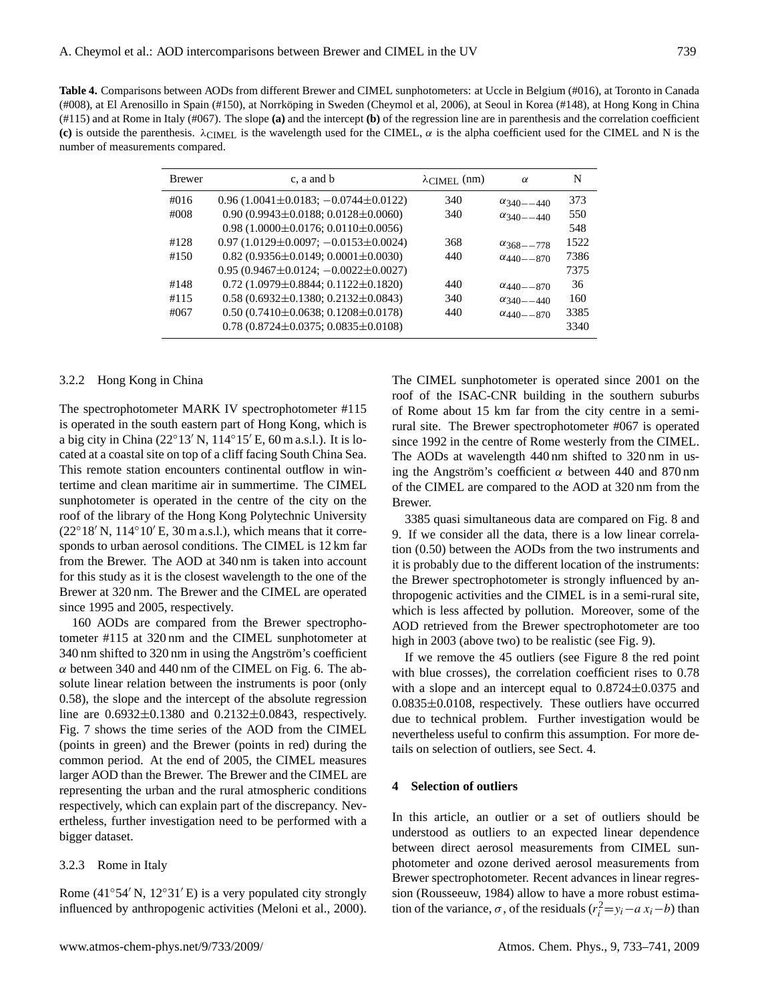**Table 4.** Comparisons between AODs from different Brewer and CIMEL sunphotometers: at Uccle in Belgium (#016), at Toronto in Canada (#008), at El Arenosillo in Spain (#150), at Norrkoping in Sweden (Cheymol et al, 2006), at Seoul in Korea (#148), at Hong Kong in China ¨ (#115) and at Rome in Italy (#067). The slope **(a)** and the intercept **(b)** of the regression line are in parenthesis and the correlation coefficient **(c)** is outside the parenthesis.  $\lambda_{\text{CIMEL}}$  is the wavelength used for the CIMEL,  $\alpha$  is the alpha coefficient used for the CIMEL and N is the number of measurements compared.

| <b>Brewer</b> | c, a and b                                        | $\lambda$ CIMEL (nm) | $\alpha$              | N    |
|---------------|---------------------------------------------------|----------------------|-----------------------|------|
| #016          | $0.96(1.0041\pm0.0183; -0.0744\pm0.0122)$         | 340                  | $\alpha_{340} = -440$ | 373  |
| $\#008$       | $0.90(0.9943\pm0.0188; 0.0128\pm0.0060)$          | 340                  | $\alpha_{340} = -440$ | 550  |
|               | $0.98(1.0000\pm0.0176; 0.0110\pm0.0056)$          |                      |                       | 548  |
| #128          | $0.97(1.0129\pm0.0097; -0.0153\pm0.0024)$         | 368                  | $\alpha_{368} = -778$ | 1522 |
| #150          | $0.82$ (0.9356 $\pm$ 0.0149; 0.0001 $\pm$ 0.0030) | 440                  | $\alpha_{440}$ - 870  | 7386 |
|               | $0.95(0.9467 \pm 0.0124; -0.0022 \pm 0.0027)$     |                      |                       | 7375 |
| #148          | $0.72(1.0979\pm0.8844; 0.1122\pm0.1820)$          | 440                  | $\alpha_{440}$ - 870  | 36   |
| #115          | $0.58(0.6932\pm0.1380; 0.2132\pm0.0843)$          | 340                  | $\alpha_{340} = -440$ | 160  |
| #067          | $0.50(0.7410\pm0.0638; 0.1208\pm0.0178)$          | 440                  | $\alpha_{440}$ -870   | 3385 |
|               | $0.78(0.8724\pm0.0375; 0.0835\pm0.0108)$          |                      |                       | 3340 |

## 3.2.2 Hong Kong in China

The spectrophotometer MARK IV spectrophotometer #115 is operated in the south eastern part of Hong Kong, which is a big city in China (22°13′ N, 114°15′ E, 60 m a.s.l.). It is located at a coastal site on top of a cliff facing South China Sea. This remote station encounters continental outflow in wintertime and clean maritime air in summertime. The CIMEL sunphotometer is operated in the centre of the city on the roof of the library of the Hong Kong Polytechnic University  $(22°18' N, 114°10' E, 30 m a.s.1)$ , which means that it corresponds to urban aerosol conditions. The CIMEL is 12 km far from the Brewer. The AOD at 340 nm is taken into account for this study as it is the closest wavelength to the one of the Brewer at 320 nm. The Brewer and the CIMEL are operated since 1995 and 2005, respectively.

160 AODs are compared from the Brewer spectrophotometer #115 at 320 nm and the CIMEL sunphotometer at 340 nm shifted to 320 nm in using the Angström's coefficient  $\alpha$  between 340 and 440 nm of the CIMEL on Fig. 6. The absolute linear relation between the instruments is poor (only 0.58), the slope and the intercept of the absolute regression line are 0.6932±0.1380 and 0.2132±0.0843, respectively. Fig. 7 shows the time series of the AOD from the CIMEL (points in green) and the Brewer (points in red) during the common period. At the end of 2005, the CIMEL measures larger AOD than the Brewer. The Brewer and the CIMEL are representing the urban and the rural atmospheric conditions respectively, which can explain part of the discrepancy. Nevertheless, further investigation need to be performed with a bigger dataset.

## 3.2.3 Rome in Italy

Rome (41°54′ N, 12°31′ E) is a very populated city strongly influenced by anthropogenic activities (Meloni et al., 2000). The CIMEL sunphotometer is operated since 2001 on the roof of the ISAC-CNR building in the southern suburbs of Rome about 15 km far from the city centre in a semirural site. The Brewer spectrophotometer #067 is operated since 1992 in the centre of Rome westerly from the CIMEL. The AODs at wavelength 440 nm shifted to 320 nm in using the Angström's coefficient  $\alpha$  between 440 and 870 nm of the CIMEL are compared to the AOD at 320 nm from the Brewer.

3385 quasi simultaneous data are compared on Fig. 8 and 9. If we consider all the data, there is a low linear correlation (0.50) between the AODs from the two instruments and it is probably due to the different location of the instruments: the Brewer spectrophotometer is strongly influenced by anthropogenic activities and the CIMEL is in a semi-rural site, which is less affected by pollution. Moreover, some of the AOD retrieved from the Brewer spectrophotometer are too high in 2003 (above two) to be realistic (see Fig. 9).

If we remove the 45 outliers (see Figure 8 the red point with blue crosses), the correlation coefficient rises to 0.78 with a slope and an intercept equal to  $0.8724 \pm 0.0375$  and  $0.0835\pm0.0108$ , respectively. These outliers have occurred due to technical problem. Further investigation would be nevertheless useful to confirm this assumption. For more details on selection of outliers, see Sect. 4.

## **4 Selection of outliers**

In this article, an outlier or a set of outliers should be understood as outliers to an expected linear dependence between direct aerosol measurements from CIMEL sunphotometer and ozone derived aerosol measurements from Brewer spectrophotometer. Recent advances in linear regression (Rousseeuw, 1984) allow to have a more robust estimation of the variance,  $\sigma$ , of the residuals  $(r_i^2 = y_i - a x_i - b)$  than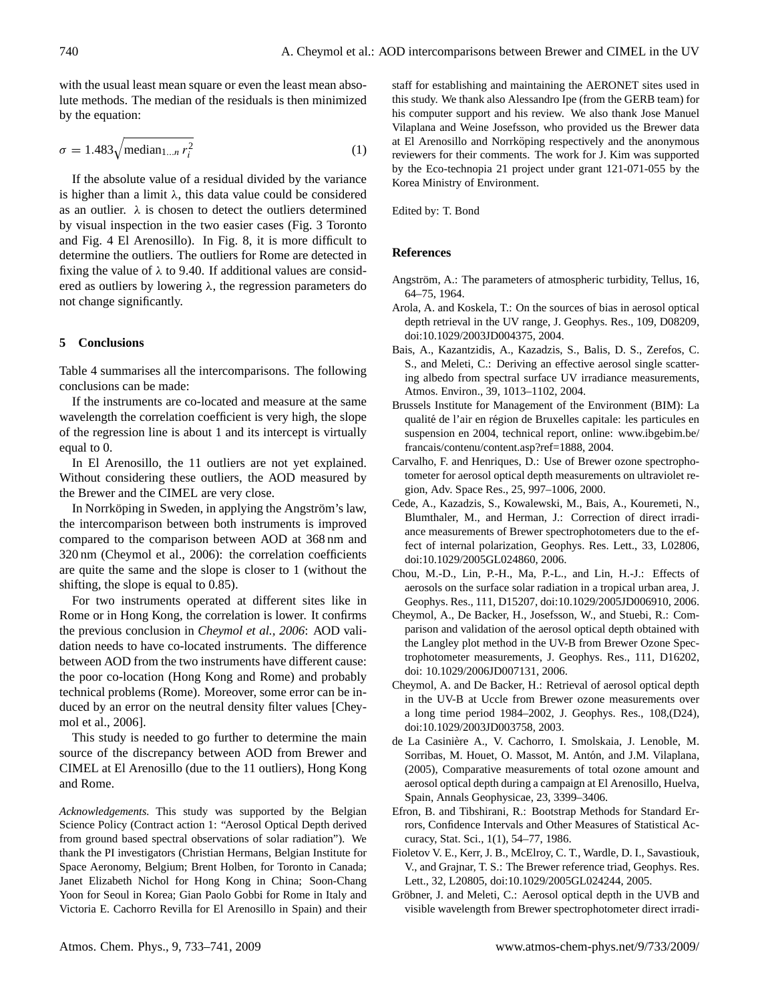with the usual least mean square or even the least mean absolute methods. The median of the residuals is then minimized by the equation:

$$
\sigma = 1.483 \sqrt{\text{median}_{1...n} r_i^2} \tag{1}
$$

If the absolute value of a residual divided by the variance is higher than a limit  $\lambda$ , this data value could be considered as an outlier.  $\lambda$  is chosen to detect the outliers determined by visual inspection in the two easier cases (Fig. 3 Toronto and Fig. 4 El Arenosillo). In Fig. 8, it is more difficult to determine the outliers. The outliers for Rome are detected in fixing the value of  $\lambda$  to 9.40. If additional values are considered as outliers by lowering  $\lambda$ , the regression parameters do not change significantly.

#### **5 Conclusions**

Table 4 summarises all the intercomparisons. The following conclusions can be made:

If the instruments are co-located and measure at the same wavelength the correlation coefficient is very high, the slope of the regression line is about 1 and its intercept is virtually equal to 0.

In El Arenosillo, the 11 outliers are not yet explained. Without considering these outliers, the AOD measured by the Brewer and the CIMEL are very close.

In Norrköping in Sweden, in applying the Angström's law, the intercomparison between both instruments is improved compared to the comparison between AOD at 368 nm and 320 nm (Cheymol et al., 2006): the correlation coefficients are quite the same and the slope is closer to 1 (without the shifting, the slope is equal to 0.85).

For two instruments operated at different sites like in Rome or in Hong Kong, the correlation is lower. It confirms the previous conclusion in *Cheymol et al., 2006*: AOD validation needs to have co-located instruments. The difference between AOD from the two instruments have different cause: the poor co-location (Hong Kong and Rome) and probably technical problems (Rome). Moreover, some error can be induced by an error on the neutral density filter values [Cheymol et al., 2006].

This study is needed to go further to determine the main source of the discrepancy between AOD from Brewer and CIMEL at El Arenosillo (due to the 11 outliers), Hong Kong and Rome.

*Acknowledgements.* This study was supported by the Belgian Science Policy (Contract action 1: "Aerosol Optical Depth derived from ground based spectral observations of solar radiation"). We thank the PI investigators (Christian Hermans, Belgian Institute for Space Aeronomy, Belgium; Brent Holben, for Toronto in Canada; Janet Elizabeth Nichol for Hong Kong in China; Soon-Chang Yoon for Seoul in Korea; Gian Paolo Gobbi for Rome in Italy and Victoria E. Cachorro Revilla for El Arenosillo in Spain) and their staff for establishing and maintaining the AERONET sites used in this study. We thank also Alessandro Ipe (from the GERB team) for his computer support and his review. We also thank Jose Manuel Vilaplana and Weine Josefsson, who provided us the Brewer data at El Arenosillo and Norrköping respectively and the anonymous reviewers for their comments. The work for J. Kim was supported by the Eco-technopia 21 project under grant 121-071-055 by the Korea Ministry of Environment.

Edited by: T. Bond

#### **References**

- Angström, A.: The parameters of atmospheric turbidity, Tellus, 16, 64–75, 1964.
- Arola, A. and Koskela, T.: On the sources of bias in aerosol optical depth retrieval in the UV range, J. Geophys. Res., 109, D08209, doi:10.1029/2003JD004375, 2004.
- Bais, A., Kazantzidis, A., Kazadzis, S., Balis, D. S., Zerefos, C. S., and Meleti, C.: Deriving an effective aerosol single scattering albedo from spectral surface UV irradiance measurements, Atmos. Environ., 39, 1013–1102, 2004.
- Brussels Institute for Management of the Environment (BIM): La qualité de l'air en région de Bruxelles capitale: les particules en suspension en 2004, technical report, online: [www.ibgebim.be/](www.ibgebim.be/francais/contenu/content.asp?ref=1888) [francais/contenu/content.asp?ref=1888,](www.ibgebim.be/francais/contenu/content.asp?ref=1888) 2004.
- Carvalho, F. and Henriques, D.: Use of Brewer ozone spectrophotometer for aerosol optical depth measurements on ultraviolet region, Adv. Space Res., 25, 997–1006, 2000.
- Cede, A., Kazadzis, S., Kowalewski, M., Bais, A., Kouremeti, N., Blumthaler, M., and Herman, J.: Correction of direct irradiance measurements of Brewer spectrophotometers due to the effect of internal polarization, Geophys. Res. Lett., 33, L02806, doi:10.1029/2005GL024860, 2006.
- Chou, M.-D., Lin, P.-H., Ma, P.-L., and Lin, H.-J.: Effects of aerosols on the surface solar radiation in a tropical urban area, J. Geophys. Res., 111, D15207, doi:10.1029/2005JD006910, 2006.
- Cheymol, A., De Backer, H., Josefsson, W., and Stuebi, R.: Comparison and validation of the aerosol optical depth obtained with the Langley plot method in the UV-B from Brewer Ozone Spectrophotometer measurements, J. Geophys. Res., 111, D16202, doi: 10.1029/2006JD007131, 2006.
- Cheymol, A. and De Backer, H.: Retrieval of aerosol optical depth in the UV-B at Uccle from Brewer ozone measurements over a long time period 1984–2002, J. Geophys. Res., 108,(D24), doi:10.1029/2003JD003758, 2003.
- de La Casiniere A., V. Cachorro, I. Smolskaia, J. Lenoble, M. ` Sorribas, M. Houet, O. Massot, M. Antón, and J.M. Vilaplana, (2005), Comparative measurements of total ozone amount and aerosol optical depth during a campaign at El Arenosillo, Huelva, Spain, Annals Geophysicae, 23, 3399–3406.
- Efron, B. and Tibshirani, R.: Bootstrap Methods for Standard Errors, Confidence Intervals and Other Measures of Statistical Accuracy, Stat. Sci., 1(1), 54–77, 1986.
- Fioletov V. E., Kerr, J. B., McElroy, C. T., Wardle, D. I., Savastiouk, V., and Grajnar, T. S.: The Brewer reference triad, Geophys. Res. Lett., 32, L20805, doi:10.1029/2005GL024244, 2005.
- Gröbner, J. and Meleti, C.: Aerosol optical depth in the UVB and visible wavelength from Brewer spectrophotometer direct irradi-